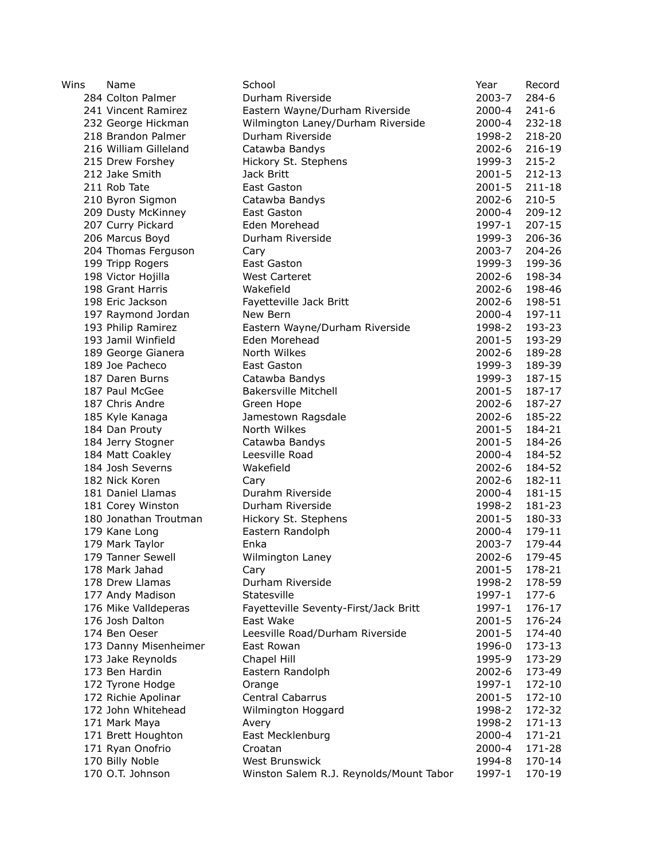| Wins | Name                                | School                                  | Year       | Record     |
|------|-------------------------------------|-----------------------------------------|------------|------------|
|      | 284 Colton Palmer                   | Durham Riverside                        | 2003-7     | $284 - 6$  |
|      | 241 Vincent Ramirez                 | Eastern Wayne/Durham Riverside          | 2000-4     | $241 - 6$  |
|      | 232 George Hickman                  | Wilmington Laney/Durham Riverside       | $2000 - 4$ | 232-18     |
|      | 218 Brandon Palmer                  | Durham Riverside                        | 1998-2     | 218-20     |
|      | 216 William Gilleland               | Catawba Bandys                          | $2002 - 6$ | 216-19     |
|      | 215 Drew Forshey                    | Hickory St. Stephens                    | 1999-3     | $215 - 2$  |
|      | 212 Jake Smith                      | Jack Britt                              | 2001-5     | 212-13     |
|      | 211 Rob Tate                        | East Gaston                             | $2001 - 5$ | 211-18     |
|      | 210 Byron Sigmon                    | Catawba Bandys                          | $2002 - 6$ | $210 - 5$  |
|      | 209 Dusty McKinney                  | East Gaston                             | 2000-4     | 209-12     |
|      | 207 Curry Pickard                   | Eden Morehead                           | 1997-1     | $207 - 15$ |
|      | 206 Marcus Boyd                     | Durham Riverside                        | 1999-3     | 206-36     |
|      | 204 Thomas Ferguson                 | Cary                                    | 2003-7     | 204-26     |
|      | 199 Tripp Rogers                    | East Gaston                             | 1999-3     | 199-36     |
|      | 198 Victor Hojilla                  | <b>West Carteret</b>                    | $2002 - 6$ | 198-34     |
|      | 198 Grant Harris                    | Wakefield                               | 2002-6     | 198-46     |
|      | 198 Eric Jackson                    | Fayetteville Jack Britt                 | 2002-6     | 198-51     |
|      | 197 Raymond Jordan                  | New Bern                                | 2000-4     | 197-11     |
|      | 193 Philip Ramirez                  | Eastern Wayne/Durham Riverside          | 1998-2     | 193-23     |
|      | 193 Jamil Winfield                  | Eden Morehead                           | $2001 - 5$ | 193-29     |
|      | 189 George Gianera                  | North Wilkes                            | $2002 - 6$ | 189-28     |
|      | 189 Joe Pacheco                     | East Gaston                             | 1999-3     | 189-39     |
|      | 187 Daren Burns                     | Catawba Bandys                          | 1999-3     | 187-15     |
|      | 187 Paul McGee                      | <b>Bakersville Mitchell</b>             | $2001 - 5$ | 187-17     |
|      | 187 Chris Andre                     | Green Hope                              | $2002 - 6$ | 187-27     |
|      | 185 Kyle Kanaga                     | Jamestown Ragsdale                      | $2002 - 6$ | 185-22     |
|      | 184 Dan Prouty                      | North Wilkes                            | 2001-5     | 184-21     |
|      | 184 Jerry Stogner                   | Catawba Bandys                          | $2001 - 5$ | 184-26     |
|      | 184 Matt Coakley                    | Leesville Road                          | $2000 - 4$ | 184-52     |
|      | 184 Josh Severns                    | Wakefield                               | $2002 - 6$ | 184-52     |
|      | 182 Nick Koren                      | Cary                                    | $2002 - 6$ | 182-11     |
|      | 181 Daniel Llamas                   | Durahm Riverside                        | 2000-4     | 181-15     |
|      | 181 Corey Winston                   | Durham Riverside                        | 1998-2     | 181-23     |
|      | 180 Jonathan Troutman               | Hickory St. Stephens                    | 2001-5     | 180-33     |
|      | 179 Kane Long                       | Eastern Randolph                        | 2000-4     | 179-11     |
|      | 179 Mark Taylor                     | Enka                                    | 2003-7     | 179-44     |
|      | 179 Tanner Sewell                   | Wilmington Laney                        | $2002 - 6$ | 179-45     |
|      | 178 Mark Jahad                      | Cary                                    | 2001-5     | 178-21     |
|      | 178 Drew Llamas                     | Durham Riverside                        | 1998-2     | 178-59     |
|      | 177 Andy Madison                    | Statesville                             | 1997-1     | 177-6      |
|      | 176 Mike Valldeperas                | Fayetteville Seventy-First/Jack Britt   | 1997-1     | 176-17     |
|      | 176 Josh Dalton                     | East Wake                               | $2001 - 5$ | 176-24     |
|      | 174 Ben Oeser                       | Leesville Road/Durham Riverside         | 2001-5     | 174-40     |
|      | 173 Danny Misenheimer               | East Rowan                              | 1996-0     | 173-13     |
|      | 173 Jake Reynolds                   | Chapel Hill                             | 1995-9     | 173-29     |
|      | 173 Ben Hardin                      | Eastern Randolph                        | $2002 - 6$ | 173-49     |
|      | 172 Tyrone Hodge                    | Orange                                  | 1997-1     | 172-10     |
|      | 172 Richie Apolinar                 | <b>Central Cabarrus</b>                 | $2001 - 5$ | 172-10     |
|      | 172 John Whitehead                  |                                         | 1998-2     | 172-32     |
|      | 171 Mark Maya                       | Wilmington Hoggard                      | 1998-2     | 171-13     |
|      |                                     | Avery                                   | 2000-4     | 171-21     |
|      | 171 Brett Houghton                  | East Mecklenburg<br>Croatan             | 2000-4     | 171-28     |
|      | 171 Ryan Onofrio<br>170 Billy Noble | West Brunswick                          | 1994-8     | 170-14     |
|      | 170 O.T. Johnson                    |                                         |            | 170-19     |
|      |                                     | Winston Salem R.J. Reynolds/Mount Tabor | 1997-1     |            |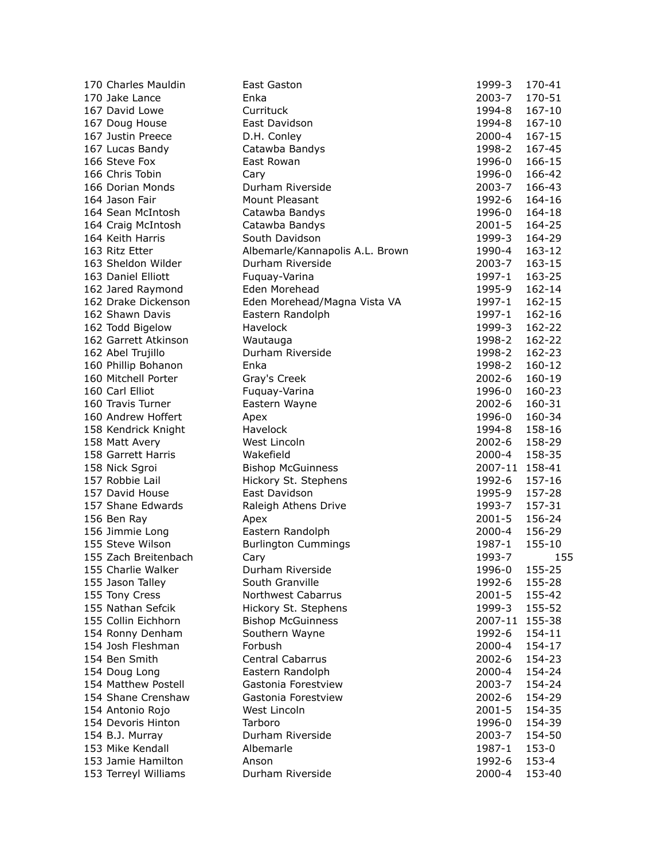| 170 Charles Mauldin                  | <b>East Gaston</b>              | 1999-3         | 170-41 |
|--------------------------------------|---------------------------------|----------------|--------|
| 170 Jake Lance                       | Enka                            | 2003-7         | 170-51 |
| 167 David Lowe                       | Currituck                       | 1994-8         | 167-10 |
| 167 Doug House                       | East Davidson                   | 1994-8         | 167-10 |
| 167 Justin Preece                    | D.H. Conley                     | 2000-4         | 167-15 |
| 167 Lucas Bandy                      | Catawba Bandys                  | 1998-2         | 167-45 |
| 166 Steve Fox                        | East Rowan                      | 1996-0         | 166-15 |
| 166 Chris Tobin                      | Cary                            | 1996-0         | 166-42 |
| 166 Dorian Monds                     | Durham Riverside                | 2003-7         | 166-43 |
| 164 Jason Fair                       | Mount Pleasant                  | 1992-6         | 164-16 |
| 164 Sean McIntosh                    | Catawba Bandys                  | 1996-0         | 164-18 |
| 164 Craig McIntosh                   | Catawba Bandys                  | 2001-5         | 164-25 |
| 164 Keith Harris                     | South Davidson                  | 1999-3         | 164-29 |
| 163 Ritz Etter                       | Albemarle/Kannapolis A.L. Brown | 1990-4         | 163-12 |
| 163 Sheldon Wilder                   | Durham Riverside                | 2003-7         | 163-15 |
| 163 Daniel Elliott                   | Fuquay-Varina                   | 1997-1         | 163-25 |
| 162 Jared Raymond                    | Eden Morehead                   | 1995-9         | 162-14 |
| 162 Drake Dickenson                  | Eden Morehead/Magna Vista VA    | 1997-1         | 162-15 |
| 162 Shawn Davis                      | Eastern Randolph                | 1997-1         | 162-16 |
| 162 Todd Bigelow                     | Havelock                        | 1999-3         | 162-22 |
| 162 Garrett Atkinson                 | Wautauga                        | 1998-2         | 162-22 |
| 162 Abel Trujillo                    | Durham Riverside                | 1998-2         | 162-23 |
| 160 Phillip Bohanon                  | Enka                            | 1998-2         | 160-12 |
| 160 Mitchell Porter                  | Gray's Creek                    | 2002-6         | 160-19 |
| 160 Carl Elliot                      | Fuquay-Varina                   | 1996-0         | 160-23 |
| 160 Travis Turner                    | Eastern Wayne                   | 2002-6         | 160-31 |
| 160 Andrew Hoffert                   | Apex                            | 1996-0         | 160-34 |
| 158 Kendrick Knight                  | Havelock                        | 1994-8         | 158-16 |
|                                      | West Lincoln                    | 2002-6         | 158-29 |
| 158 Matt Avery<br>158 Garrett Harris | Wakefield                       | 2000-4         | 158-35 |
|                                      |                                 |                |        |
| 158 Nick Sgroi                       | <b>Bishop McGuinness</b>        | 2007-11 158-41 |        |
| 157 Robbie Lail                      | Hickory St. Stephens            | 1992-6         | 157-16 |
| 157 David House                      | East Davidson                   | 1995-9         | 157-28 |
| 157 Shane Edwards                    | Raleigh Athens Drive            | 1993-7         | 157-31 |
| 156 Ben Ray                          | Apex                            | 2001-5         | 156-24 |
| 156 Jimmie Long                      | Eastern Randolph                | 2000-4         | 156-29 |
| 155 Steve Wilson                     | <b>Burlington Cummings</b>      | 1987-1         | 155-10 |
| 155 Zach Breitenbach                 | Cary                            | 1993-7         | 155    |
| 155 Charlie Walker                   | Durham Riverside                | 1996-0         | 155-25 |
| 155 Jason Talley                     | South Granville                 | 1992-6         | 155-28 |
| 155 Tony Cress                       | <b>Northwest Cabarrus</b>       | $2001 - 5$     | 155-42 |
| 155 Nathan Sefcik                    | Hickory St. Stephens            | 1999-3         | 155-52 |
| 155 Collin Eichhorn                  | <b>Bishop McGuinness</b>        | 2007-11        | 155-38 |
| 154 Ronny Denham                     | Southern Wayne                  | 1992-6         | 154-11 |
| 154 Josh Fleshman                    | Forbush                         | 2000-4         | 154-17 |
| 154 Ben Smith                        | Central Cabarrus                | $2002 - 6$     | 154-23 |
| 154 Doug Long                        | Eastern Randolph                | $2000 - 4$     | 154-24 |
| 154 Matthew Postell                  | Gastonia Forestview             | 2003-7         | 154-24 |
| 154 Shane Crenshaw                   | Gastonia Forestview             | $2002 - 6$     | 154-29 |
| 154 Antonio Rojo                     | West Lincoln                    | $2001 - 5$     | 154-35 |
| 154 Devoris Hinton                   | Tarboro                         | 1996-0         | 154-39 |
| 154 B.J. Murray                      | Durham Riverside                | 2003-7         | 154-50 |
| 153 Mike Kendall                     | Albemarle                       | 1987-1         | 153-0  |
| 153 Jamie Hamilton                   | Anson                           | 1992-6         | 153-4  |
| 153 Terreyl Williams                 | Durham Riverside                | 2000-4         | 153-40 |